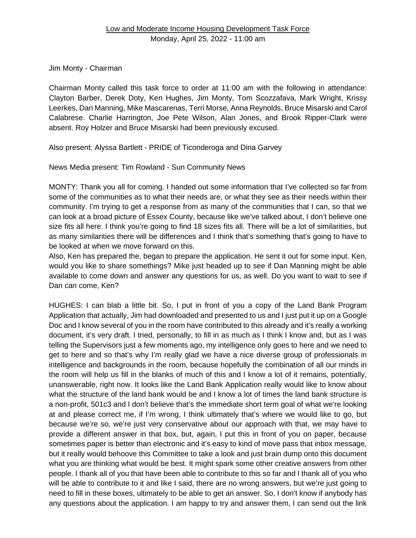Jim Monty - Chairman

Chairman Monty called this task force to order at 11:00 am with the following in attendance: Clayton Barber, Derek Doty, Ken Hughes, Jim Monty, Tom Scozzafava, Mark Wright, Krissy Leerkes, Dan Manning, Mike Mascarenas, Terri Morse, Anna Reynolds, Bruce Misarski and Carol Calabrese. Charlie Harrington, Joe Pete Wilson, Alan Jones, and Brook Ripper-Clark were absent. Roy Holzer and Bruce Misarski had been previously excused.

Also present: Alyssa Bartlett - PRIDE of Ticonderoga and Dina Garvey

News Media present: Tim Rowland - Sun Community News

MONTY: Thank you all for coming. I handed out some information that I've collected so far from some of the communities as to what their needs are, or what they see as their needs within their community. I'm trying to get a response from as many of the communities that I can, so that we can look at a broad picture of Essex County, because like we've talked about, I don't believe one size fits all here. I think you're going to find 18 sizes fits all. There will be a lot of similarities, but as many similarities there will be differences and I think that's something that's going to have to be looked at when we move forward on this.

Also, Ken has prepared the, began to prepare the application. He sent it out for some input. Ken, would you like to share somethings? Mike just headed up to see if Dan Manning might be able available to come down and answer any questions for us, as well. Do you want to wait to see if Dan can come, Ken?

HUGHES: I can blab a little bit. So, I put in front of you a copy of the Land Bank Program Application that actually, Jim had downloaded and presented to us and I just put it up on a Google Doc and I know several of you in the room have contributed to this already and it's really a working document, it's very draft. I tried, personally, to fill in as much as I think I know and, but as I was telling the Supervisors just a few moments ago, my intelligence only goes to here and we need to get to here and so that's why I'm really glad we have a nice diverse group of professionals in intelligence and backgrounds in the room, because hopefully the combination of all our minds in the room will help us fill in the blanks of much of this and I know a lot of it remains, potentially, unanswerable, right now. It looks like the Land Bank Application really would like to know about what the structure of the land bank would be and I know a lot of times the land bank structure is a non-profit, 501c3 and I don't believe that's the immediate short term goal of what we're looking at and please correct me, if I'm wrong, I think ultimately that's where we would like to go, but because we're so, we're just very conservative about our approach with that, we may have to provide a different answer in that box, but, again, I put this in front of you on paper, because sometimes paper is better than electronic and it's easy to kind of move pass that inbox message, but it really would behoove this Committee to take a look and just brain dump onto this document what you are thinking what would be best. It might spark some other creative answers from other people. I thank all of you that have been able to contribute to this so far and I thank all of you who will be able to contribute to it and like I said, there are no wrong answers, but we're just going to need to fill in these boxes, ultimately to be able to get an answer. So, I don't know if anybody has any questions about the application. I am happy to try and answer them, I can send out the link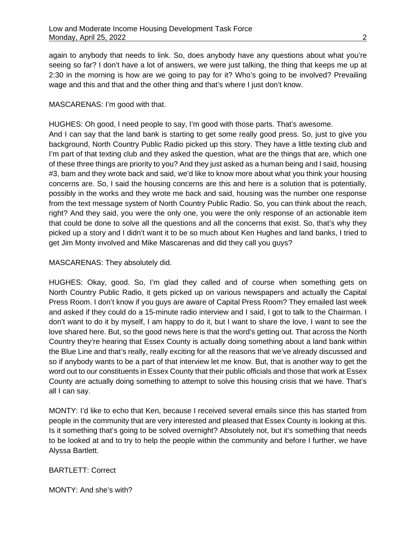again to anybody that needs to link. So, does anybody have any questions about what you're seeing so far? I don't have a lot of answers, we were just talking, the thing that keeps me up at 2:30 in the morning is how are we going to pay for it? Who's going to be involved? Prevailing wage and this and that and the other thing and that's where I just don't know.

# MASCARENAS: I'm good with that.

HUGHES: Oh good, I need people to say, I'm good with those parts. That's awesome. And I can say that the land bank is starting to get some really good press. So, just to give you background, North Country Public Radio picked up this story. They have a little texting club and I'm part of that texting club and they asked the question, what are the things that are, which one of these three things are priority to you? And they just asked as a human being and I said, housing #3, bam and they wrote back and said, we'd like to know more about what you think your housing concerns are. So, I said the housing concerns are this and here is a solution that is potentially, possibly in the works and they wrote me back and said, housing was the number one response from the text message system of North Country Public Radio. So, you can think about the reach, right? And they said, you were the only one, you were the only response of an actionable item that could be done to solve all the questions and all the concerns that exist. So, that's why they picked up a story and I didn't want it to be so much about Ken Hughes and land banks, I tried to get Jim Monty involved and Mike Mascarenas and did they call you guys?

# MASCARENAS: They absolutely did.

HUGHES: Okay, good. So, I'm glad they called and of course when something gets on North Country Public Radio, it gets picked up on various newspapers and actually the Capital Press Room. I don't know if you guys are aware of Capital Press Room? They emailed last week and asked if they could do a 15-minute radio interview and I said, I got to talk to the Chairman. I don't want to do it by myself, I am happy to do it, but I want to share the love, I want to see the love shared here. But, so the good news here is that the word's getting out. That across the North Country they're hearing that Essex County is actually doing something about a land bank within the Blue Line and that's really, really exciting for all the reasons that we've already discussed and so if anybody wants to be a part of that interview let me know. But, that is another way to get the word out to our constituents in Essex County that their public officials and those that work at Essex County are actually doing something to attempt to solve this housing crisis that we have. That's all I can say.

MONTY: I'd like to echo that Ken, because I received several emails since this has started from people in the community that are very interested and pleased that Essex County is looking at this. Is it something that's going to be solved overnight? Absolutely not, but it's something that needs to be looked at and to try to help the people within the community and before I further, we have Alyssa Bartlett.

# BARTLETT: Correct

MONTY: And she's with?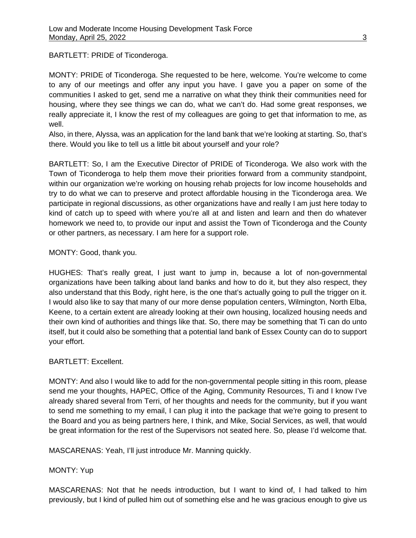BARTLETT: PRIDE of Ticonderoga.

MONTY: PRIDE of Ticonderoga. She requested to be here, welcome. You're welcome to come to any of our meetings and offer any input you have. I gave you a paper on some of the communities I asked to get, send me a narrative on what they think their communities need for housing, where they see things we can do, what we can't do. Had some great responses, we really appreciate it, I know the rest of my colleagues are going to get that information to me, as well.

Also, in there, Alyssa, was an application for the land bank that we're looking at starting. So, that's there. Would you like to tell us a little bit about yourself and your role?

BARTLETT: So, I am the Executive Director of PRIDE of Ticonderoga. We also work with the Town of Ticonderoga to help them move their priorities forward from a community standpoint, within our organization we're working on housing rehab projects for low income households and try to do what we can to preserve and protect affordable housing in the Ticonderoga area. We participate in regional discussions, as other organizations have and really I am just here today to kind of catch up to speed with where you're all at and listen and learn and then do whatever homework we need to, to provide our input and assist the Town of Ticonderoga and the County or other partners, as necessary. I am here for a support role.

# MONTY: Good, thank you.

HUGHES: That's really great, I just want to jump in, because a lot of non-governmental organizations have been talking about land banks and how to do it, but they also respect, they also understand that this Body, right here, is the one that's actually going to pull the trigger on it. I would also like to say that many of our more dense population centers, Wilmington, North Elba, Keene, to a certain extent are already looking at their own housing, localized housing needs and their own kind of authorities and things like that. So, there may be something that Ti can do unto itself, but it could also be something that a potential land bank of Essex County can do to support your effort.

# BARTLETT: Excellent.

MONTY: And also I would like to add for the non-governmental people sitting in this room, please send me your thoughts, HAPEC, Office of the Aging, Community Resources, Ti and I know I've already shared several from Terri, of her thoughts and needs for the community, but if you want to send me something to my email, I can plug it into the package that we're going to present to the Board and you as being partners here, I think, and Mike, Social Services, as well, that would be great information for the rest of the Supervisors not seated here. So, please I'd welcome that.

MASCARENAS: Yeah, I'll just introduce Mr. Manning quickly.

# MONTY: Yup

MASCARENAS: Not that he needs introduction, but I want to kind of, I had talked to him previously, but I kind of pulled him out of something else and he was gracious enough to give us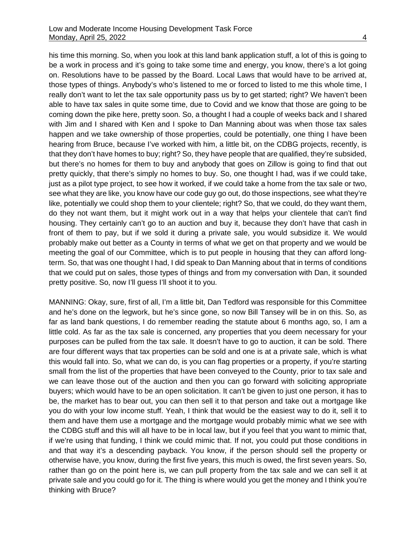his time this morning. So, when you look at this land bank application stuff, a lot of this is going to be a work in process and it's going to take some time and energy, you know, there's a lot going on. Resolutions have to be passed by the Board. Local Laws that would have to be arrived at, those types of things. Anybody's who's listened to me or forced to listed to me this whole time, I really don't want to let the tax sale opportunity pass us by to get started; right? We haven't been able to have tax sales in quite some time, due to Covid and we know that those are going to be coming down the pike here, pretty soon. So, a thought I had a couple of weeks back and I shared

with Jim and I shared with Ken and I spoke to Dan Manning about was when those tax sales happen and we take ownership of those properties, could be potentially, one thing I have been hearing from Bruce, because I've worked with him, a little bit, on the CDBG projects, recently, is that they don't have homes to buy; right? So, they have people that are qualified, they're subsided, but there's no homes for them to buy and anybody that goes on Zillow is going to find that out pretty quickly, that there's simply no homes to buy. So, one thought I had, was if we could take, just as a pilot type project, to see how it worked, if we could take a home from the tax sale or two, see what they are like, you know have our code guy go out, do those inspections, see what they're like, potentially we could shop them to your clientele; right? So, that we could, do they want them, do they not want them, but it might work out in a way that helps your clientele that can't find housing. They certainly can't go to an auction and buy it, because they don't have that cash in front of them to pay, but if we sold it during a private sale, you would subsidize it. We would probably make out better as a County in terms of what we get on that property and we would be meeting the goal of our Committee, which is to put people in housing that they can afford longterm. So, that was one thought I had, I did speak to Dan Manning about that in terms of conditions that we could put on sales, those types of things and from my conversation with Dan, it sounded pretty positive. So, now I'll guess I'll shoot it to you.

MANNING: Okay, sure, first of all, I'm a little bit, Dan Tedford was responsible for this Committee and he's done on the legwork, but he's since gone, so now Bill Tansey will be in on this. So, as far as land bank questions, I do remember reading the statute about 6 months ago, so, I am a little cold. As far as the tax sale is concerned, any properties that you deem necessary for your purposes can be pulled from the tax sale. It doesn't have to go to auction, it can be sold. There are four different ways that tax properties can be sold and one is at a private sale, which is what this would fall into. So, what we can do, is you can flag properties or a property, if you're starting small from the list of the properties that have been conveyed to the County, prior to tax sale and we can leave those out of the auction and then you can go forward with soliciting appropriate buyers; which would have to be an open solicitation. It can't be given to just one person, it has to be, the market has to bear out, you can then sell it to that person and take out a mortgage like you do with your low income stuff. Yeah, I think that would be the easiest way to do it, sell it to them and have them use a mortgage and the mortgage would probably mimic what we see with the CDBG stuff and this will all have to be in local law, but if you feel that you want to mimic that, if we're using that funding, I think we could mimic that. If not, you could put those conditions in and that way it's a descending payback. You know, if the person should sell the property or otherwise have, you know, during the first five years, this much is owed, the first seven years. So, rather than go on the point here is, we can pull property from the tax sale and we can sell it at private sale and you could go for it. The thing is where would you get the money and I think you're thinking with Bruce?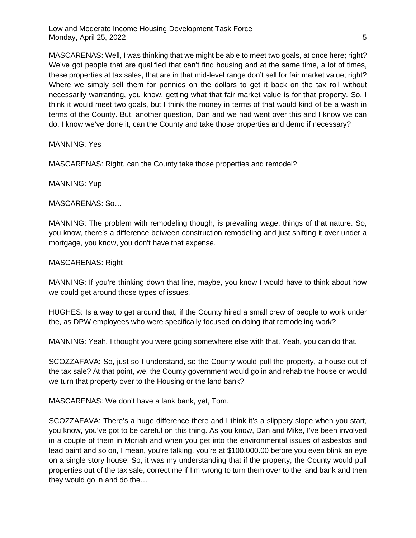MASCARENAS: Well, I was thinking that we might be able to meet two goals, at once here; right? We've got people that are qualified that can't find housing and at the same time, a lot of times, these properties at tax sales, that are in that mid-level range don't sell for fair market value; right? Where we simply sell them for pennies on the dollars to get it back on the tax roll without necessarily warranting, you know, getting what that fair market value is for that property. So, I think it would meet two goals, but I think the money in terms of that would kind of be a wash in terms of the County. But, another question, Dan and we had went over this and I know we can do, I know we've done it, can the County and take those properties and demo if necessary?

MANNING: Yes

MASCARENAS: Right, can the County take those properties and remodel?

MANNING: Yup

MASCARENAS: So…

MANNING: The problem with remodeling though, is prevailing wage, things of that nature. So, you know, there's a difference between construction remodeling and just shifting it over under a mortgage, you know, you don't have that expense.

MASCARENAS: Right

MANNING: If you're thinking down that line, maybe, you know I would have to think about how we could get around those types of issues.

HUGHES: Is a way to get around that, if the County hired a small crew of people to work under the, as DPW employees who were specifically focused on doing that remodeling work?

MANNING: Yeah, I thought you were going somewhere else with that. Yeah, you can do that.

SCOZZAFAVA: So, just so I understand, so the County would pull the property, a house out of the tax sale? At that point, we, the County government would go in and rehab the house or would we turn that property over to the Housing or the land bank?

MASCARENAS: We don't have a lank bank, yet, Tom.

SCOZZAFAVA: There's a huge difference there and I think it's a slippery slope when you start, you know, you've got to be careful on this thing. As you know, Dan and Mike, I've been involved in a couple of them in Moriah and when you get into the environmental issues of asbestos and lead paint and so on, I mean, you're talking, you're at \$100,000.00 before you even blink an eye on a single story house. So, it was my understanding that if the property, the County would pull properties out of the tax sale, correct me if I'm wrong to turn them over to the land bank and then they would go in and do the…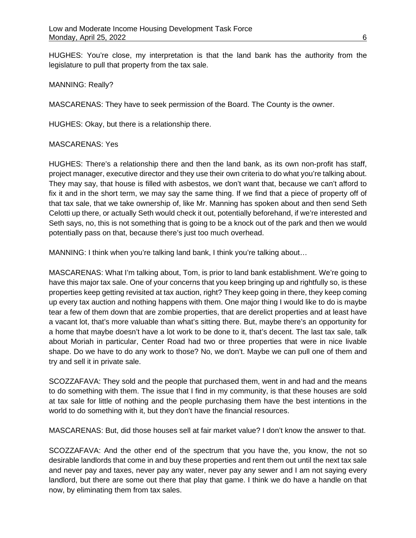HUGHES: You're close, my interpretation is that the land bank has the authority from the legislature to pull that property from the tax sale.

MANNING: Really?

MASCARENAS: They have to seek permission of the Board. The County is the owner.

HUGHES: Okay, but there is a relationship there.

### MASCARENAS: Yes

HUGHES: There's a relationship there and then the land bank, as its own non-profit has staff, project manager, executive director and they use their own criteria to do what you're talking about. They may say, that house is filled with asbestos, we don't want that, because we can't afford to fix it and in the short term, we may say the same thing. If we find that a piece of property off of that tax sale, that we take ownership of, like Mr. Manning has spoken about and then send Seth Celotti up there, or actually Seth would check it out, potentially beforehand, if we're interested and Seth says, no, this is not something that is going to be a knock out of the park and then we would potentially pass on that, because there's just too much overhead.

MANNING: I think when you're talking land bank, I think you're talking about...

MASCARENAS: What I'm talking about, Tom, is prior to land bank establishment. We're going to have this major tax sale. One of your concerns that you keep bringing up and rightfully so, is these properties keep getting revisited at tax auction, right? They keep going in there, they keep coming up every tax auction and nothing happens with them. One major thing I would like to do is maybe tear a few of them down that are zombie properties, that are derelict properties and at least have a vacant lot, that's more valuable than what's sitting there. But, maybe there's an opportunity for a home that maybe doesn't have a lot work to be done to it, that's decent. The last tax sale, talk about Moriah in particular, Center Road had two or three properties that were in nice livable shape. Do we have to do any work to those? No, we don't. Maybe we can pull one of them and try and sell it in private sale.

SCOZZAFAVA: They sold and the people that purchased them, went in and had and the means to do something with them. The issue that I find in my community, is that these houses are sold at tax sale for little of nothing and the people purchasing them have the best intentions in the world to do something with it, but they don't have the financial resources.

MASCARENAS: But, did those houses sell at fair market value? I don't know the answer to that.

SCOZZAFAVA: And the other end of the spectrum that you have the, you know, the not so desirable landlords that come in and buy these properties and rent them out until the next tax sale and never pay and taxes, never pay any water, never pay any sewer and I am not saying every landlord, but there are some out there that play that game. I think we do have a handle on that now, by eliminating them from tax sales.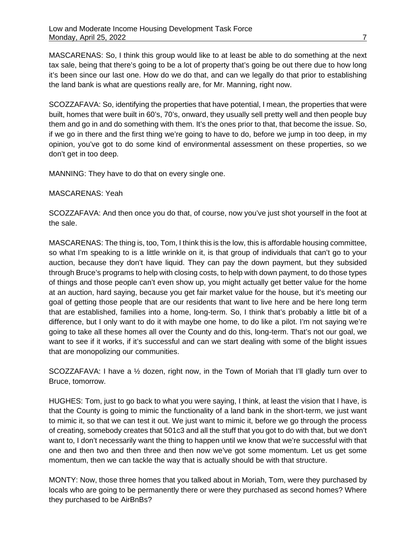MASCARENAS: So, I think this group would like to at least be able to do something at the next tax sale, being that there's going to be a lot of property that's going be out there due to how long it's been since our last one. How do we do that, and can we legally do that prior to establishing the land bank is what are questions really are, for Mr. Manning, right now.

SCOZZAFAVA: So, identifying the properties that have potential, I mean, the properties that were built, homes that were built in 60's, 70's, onward, they usually sell pretty well and then people buy them and go in and do something with them. It's the ones prior to that, that become the issue. So, if we go in there and the first thing we're going to have to do, before we jump in too deep, in my opinion, you've got to do some kind of environmental assessment on these properties, so we don't get in too deep.

MANNING: They have to do that on every single one.

# MASCARENAS: Yeah

SCOZZAFAVA: And then once you do that, of course, now you've just shot yourself in the foot at the sale.

MASCARENAS: The thing is, too, Tom, I think this is the low, this is affordable housing committee, so what I'm speaking to is a little wrinkle on it, is that group of individuals that can't go to your auction, because they don't have liquid. They can pay the down payment, but they subsided through Bruce's programs to help with closing costs, to help with down payment, to do those types of things and those people can't even show up, you might actually get better value for the home at an auction, hard saying, because you get fair market value for the house, but it's meeting our goal of getting those people that are our residents that want to live here and be here long term that are established, families into a home, long-term. So, I think that's probably a little bit of a difference, but I only want to do it with maybe one home, to do like a pilot. I'm not saying we're going to take all these homes all over the County and do this, long-term. That's not our goal, we want to see if it works, if it's successful and can we start dealing with some of the blight issues that are monopolizing our communities.

SCOZZAFAVA: I have a ½ dozen, right now, in the Town of Moriah that I'll gladly turn over to Bruce, tomorrow.

HUGHES: Tom, just to go back to what you were saying, I think, at least the vision that I have, is that the County is going to mimic the functionality of a land bank in the short-term, we just want to mimic it, so that we can test it out. We just want to mimic it, before we go through the process of creating, somebody creates that 501c3 and all the stuff that you got to do with that, but we don't want to, I don't necessarily want the thing to happen until we know that we're successful with that one and then two and then three and then now we've got some momentum. Let us get some momentum, then we can tackle the way that is actually should be with that structure.

MONTY: Now, those three homes that you talked about in Moriah, Tom, were they purchased by locals who are going to be permanently there or were they purchased as second homes? Where they purchased to be AirBnBs?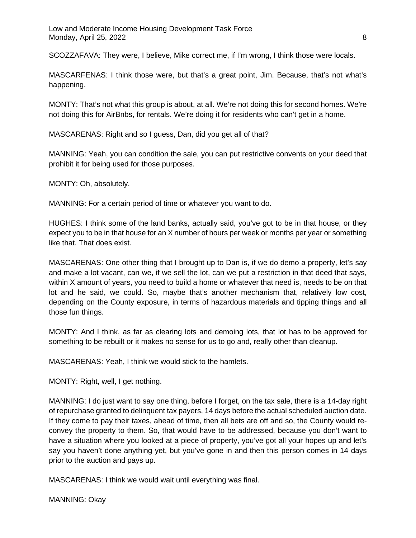SCOZZAFAVA: They were, I believe, Mike correct me, if I'm wrong, I think those were locals.

MASCARFENAS: I think those were, but that's a great point, Jim. Because, that's not what's happening.

MONTY: That's not what this group is about, at all. We're not doing this for second homes. We're not doing this for AirBnbs, for rentals. We're doing it for residents who can't get in a home.

MASCARENAS: Right and so I guess, Dan, did you get all of that?

MANNING: Yeah, you can condition the sale, you can put restrictive convents on your deed that prohibit it for being used for those purposes.

MONTY: Oh, absolutely.

MANNING: For a certain period of time or whatever you want to do.

HUGHES: I think some of the land banks, actually said, you've got to be in that house, or they expect you to be in that house for an X number of hours per week or months per year or something like that. That does exist.

MASCARENAS: One other thing that I brought up to Dan is, if we do demo a property, let's say and make a lot vacant, can we, if we sell the lot, can we put a restriction in that deed that says, within X amount of years, you need to build a home or whatever that need is, needs to be on that lot and he said, we could. So, maybe that's another mechanism that, relatively low cost, depending on the County exposure, in terms of hazardous materials and tipping things and all those fun things.

MONTY: And I think, as far as clearing lots and demoing lots, that lot has to be approved for something to be rebuilt or it makes no sense for us to go and, really other than cleanup.

MASCARENAS: Yeah, I think we would stick to the hamlets.

MONTY: Right, well, I get nothing.

MANNING: I do just want to say one thing, before I forget, on the tax sale, there is a 14-day right of repurchase granted to delinquent tax payers, 14 days before the actual scheduled auction date. If they come to pay their taxes, ahead of time, then all bets are off and so, the County would reconvey the property to them. So, that would have to be addressed, because you don't want to have a situation where you looked at a piece of property, you've got all your hopes up and let's say you haven't done anything yet, but you've gone in and then this person comes in 14 days prior to the auction and pays up.

MASCARENAS: I think we would wait until everything was final.

MANNING: Okay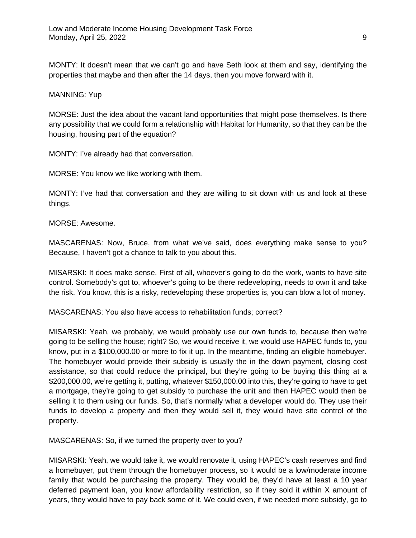MONTY: It doesn't mean that we can't go and have Seth look at them and say, identifying the properties that maybe and then after the 14 days, then you move forward with it.

#### MANNING: Yup

MORSE: Just the idea about the vacant land opportunities that might pose themselves. Is there any possibility that we could form a relationship with Habitat for Humanity, so that they can be the housing, housing part of the equation?

MONTY: I've already had that conversation.

MORSE: You know we like working with them.

MONTY: I've had that conversation and they are willing to sit down with us and look at these things.

MORSE: Awesome.

MASCARENAS: Now, Bruce, from what we've said, does everything make sense to you? Because, I haven't got a chance to talk to you about this.

MISARSKI: It does make sense. First of all, whoever's going to do the work, wants to have site control. Somebody's got to, whoever's going to be there redeveloping, needs to own it and take the risk. You know, this is a risky, redeveloping these properties is, you can blow a lot of money.

MASCARENAS: You also have access to rehabilitation funds; correct?

MISARSKI: Yeah, we probably, we would probably use our own funds to, because then we're going to be selling the house; right? So, we would receive it, we would use HAPEC funds to, you know, put in a \$100,000.00 or more to fix it up. In the meantime, finding an eligible homebuyer. The homebuyer would provide their subsidy is usually the in the down payment, closing cost assistance, so that could reduce the principal, but they're going to be buying this thing at a \$200,000.00, we're getting it, putting, whatever \$150,000.00 into this, they're going to have to get a mortgage, they're going to get subsidy to purchase the unit and then HAPEC would then be selling it to them using our funds. So, that's normally what a developer would do. They use their funds to develop a property and then they would sell it, they would have site control of the property.

MASCARENAS: So, if we turned the property over to you?

MISARSKI: Yeah, we would take it, we would renovate it, using HAPEC's cash reserves and find a homebuyer, put them through the homebuyer process, so it would be a low/moderate income family that would be purchasing the property. They would be, they'd have at least a 10 year deferred payment loan, you know affordability restriction, so if they sold it within X amount of years, they would have to pay back some of it. We could even, if we needed more subsidy, go to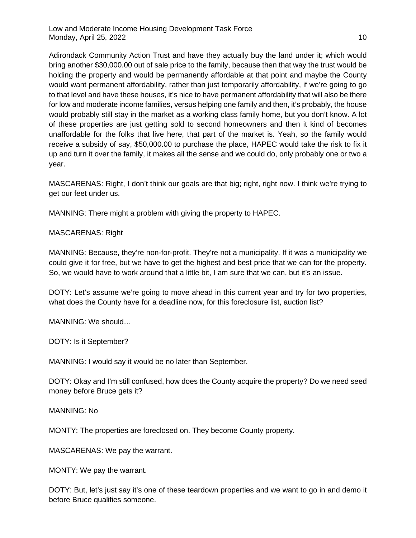Adirondack Community Action Trust and have they actually buy the land under it; which would bring another \$30,000.00 out of sale price to the family, because then that way the trust would be holding the property and would be permanently affordable at that point and maybe the County would want permanent affordability, rather than just temporarily affordability, if we're going to go to that level and have these houses, it's nice to have permanent affordability that will also be there for low and moderate income families, versus helping one family and then, it's probably, the house would probably still stay in the market as a working class family home, but you don't know. A lot of these properties are just getting sold to second homeowners and then it kind of becomes unaffordable for the folks that live here, that part of the market is. Yeah, so the family would receive a subsidy of say, \$50,000.00 to purchase the place, HAPEC would take the risk to fix it up and turn it over the family, it makes all the sense and we could do, only probably one or two a year.

MASCARENAS: Right, I don't think our goals are that big; right, right now. I think we're trying to get our feet under us.

MANNING: There might a problem with giving the property to HAPEC.

# MASCARENAS: Right

MANNING: Because, they're non-for-profit. They're not a municipality. If it was a municipality we could give it for free, but we have to get the highest and best price that we can for the property. So, we would have to work around that a little bit, I am sure that we can, but it's an issue.

DOTY: Let's assume we're going to move ahead in this current year and try for two properties, what does the County have for a deadline now, for this foreclosure list, auction list?

MANNING: We should…

DOTY: Is it September?

MANNING: I would say it would be no later than September.

DOTY: Okay and I'm still confused, how does the County acquire the property? Do we need seed money before Bruce gets it?

MANNING: No

MONTY: The properties are foreclosed on. They become County property.

MASCARENAS: We pay the warrant.

MONTY: We pay the warrant.

DOTY: But, let's just say it's one of these teardown properties and we want to go in and demo it before Bruce qualifies someone.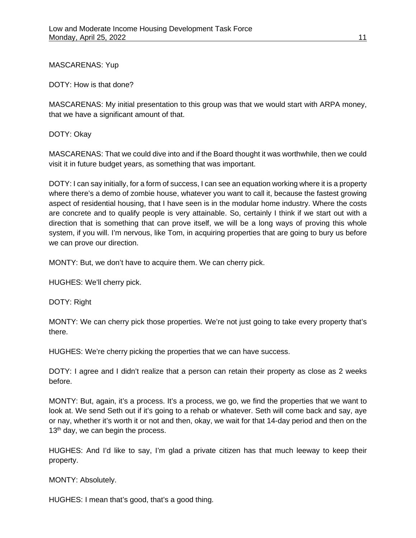MASCARENAS: Yup

DOTY: How is that done?

MASCARENAS: My initial presentation to this group was that we would start with ARPA money, that we have a significant amount of that.

DOTY: Okay

MASCARENAS: That we could dive into and if the Board thought it was worthwhile, then we could visit it in future budget years, as something that was important.

DOTY: I can say initially, for a form of success, I can see an equation working where it is a property where there's a demo of zombie house, whatever you want to call it, because the fastest growing aspect of residential housing, that I have seen is in the modular home industry. Where the costs are concrete and to qualify people is very attainable. So, certainly I think if we start out with a direction that is something that can prove itself, we will be a long ways of proving this whole system, if you will. I'm nervous, like Tom, in acquiring properties that are going to bury us before we can prove our direction.

MONTY: But, we don't have to acquire them. We can cherry pick.

HUGHES: We'll cherry pick.

DOTY: Right

MONTY: We can cherry pick those properties. We're not just going to take every property that's there.

HUGHES: We're cherry picking the properties that we can have success.

DOTY: I agree and I didn't realize that a person can retain their property as close as 2 weeks before.

MONTY: But, again, it's a process. It's a process, we go, we find the properties that we want to look at. We send Seth out if it's going to a rehab or whatever. Seth will come back and say, aye or nay, whether it's worth it or not and then, okay, we wait for that 14-day period and then on the 13<sup>th</sup> day, we can begin the process.

HUGHES: And I'd like to say, I'm glad a private citizen has that much leeway to keep their property.

MONTY: Absolutely.

HUGHES: I mean that's good, that's a good thing.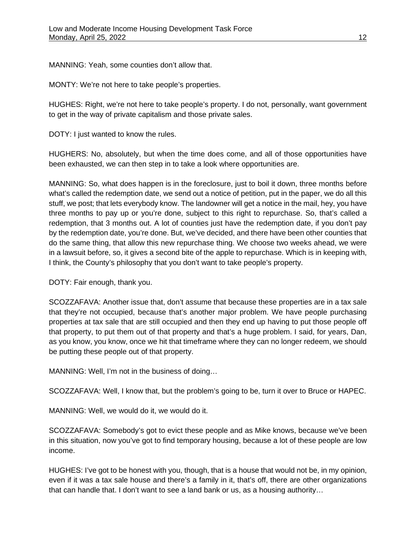MANNING: Yeah, some counties don't allow that.

MONTY: We're not here to take people's properties.

HUGHES: Right, we're not here to take people's property. I do not, personally, want government to get in the way of private capitalism and those private sales.

DOTY: I just wanted to know the rules.

HUGHERS: No, absolutely, but when the time does come, and all of those opportunities have been exhausted, we can then step in to take a look where opportunities are.

MANNING: So, what does happen is in the foreclosure, just to boil it down, three months before what's called the redemption date, we send out a notice of petition, put in the paper, we do all this stuff, we post; that lets everybody know. The landowner will get a notice in the mail, hey, you have three months to pay up or you're done, subject to this right to repurchase. So, that's called a redemption, that 3 months out. A lot of counties just have the redemption date, if you don't pay by the redemption date, you're done. But, we've decided, and there have been other counties that do the same thing, that allow this new repurchase thing. We choose two weeks ahead, we were in a lawsuit before, so, it gives a second bite of the apple to repurchase. Which is in keeping with, I think, the County's philosophy that you don't want to take people's property.

DOTY: Fair enough, thank you.

SCOZZAFAVA: Another issue that, don't assume that because these properties are in a tax sale that they're not occupied, because that's another major problem. We have people purchasing properties at tax sale that are still occupied and then they end up having to put those people off that property, to put them out of that property and that's a huge problem. I said, for years, Dan, as you know, you know, once we hit that timeframe where they can no longer redeem, we should be putting these people out of that property.

MANNING: Well, I'm not in the business of doing…

SCOZZAFAVA: Well, I know that, but the problem's going to be, turn it over to Bruce or HAPEC.

MANNING: Well, we would do it, we would do it.

SCOZZAFAVA: Somebody's got to evict these people and as Mike knows, because we've been in this situation, now you've got to find temporary housing, because a lot of these people are low income.

HUGHES: I've got to be honest with you, though, that is a house that would not be, in my opinion, even if it was a tax sale house and there's a family in it, that's off, there are other organizations that can handle that. I don't want to see a land bank or us, as a housing authority…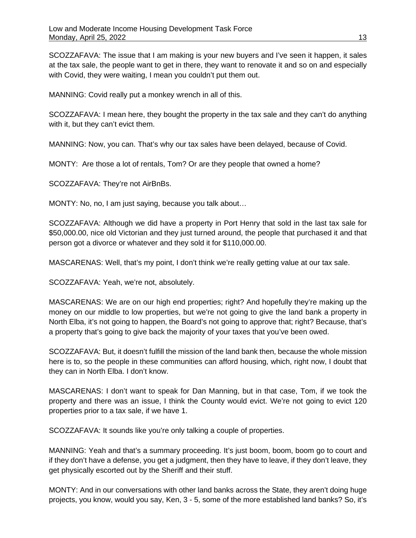SCOZZAFAVA: The issue that I am making is your new buyers and I've seen it happen, it sales at the tax sale, the people want to get in there, they want to renovate it and so on and especially with Covid, they were waiting, I mean you couldn't put them out.

MANNING: Covid really put a monkey wrench in all of this.

SCOZZAFAVA: I mean here, they bought the property in the tax sale and they can't do anything with it, but they can't evict them.

MANNING: Now, you can. That's why our tax sales have been delayed, because of Covid.

MONTY: Are those a lot of rentals, Tom? Or are they people that owned a home?

SCOZZAFAVA: They're not AirBnBs.

MONTY: No, no, I am just saying, because you talk about…

SCOZZAFAVA: Although we did have a property in Port Henry that sold in the last tax sale for \$50,000.00, nice old Victorian and they just turned around, the people that purchased it and that person got a divorce or whatever and they sold it for \$110,000.00.

MASCARENAS: Well, that's my point, I don't think we're really getting value at our tax sale.

SCOZZAFAVA: Yeah, we're not, absolutely.

MASCARENAS: We are on our high end properties; right? And hopefully they're making up the money on our middle to low properties, but we're not going to give the land bank a property in North Elba, it's not going to happen, the Board's not going to approve that; right? Because, that's a property that's going to give back the majority of your taxes that you've been owed.

SCOZZAFAVA: But, it doesn't fulfill the mission of the land bank then, because the whole mission here is to, so the people in these communities can afford housing, which, right now, I doubt that they can in North Elba. I don't know.

MASCARENAS: I don't want to speak for Dan Manning, but in that case, Tom, if we took the property and there was an issue, I think the County would evict. We're not going to evict 120 properties prior to a tax sale, if we have 1.

SCOZZAFAVA: It sounds like you're only talking a couple of properties.

MANNING: Yeah and that's a summary proceeding. It's just boom, boom, boom go to court and if they don't have a defense, you get a judgment, then they have to leave, if they don't leave, they get physically escorted out by the Sheriff and their stuff.

MONTY: And in our conversations with other land banks across the State, they aren't doing huge projects, you know, would you say, Ken, 3 - 5, some of the more established land banks? So, it's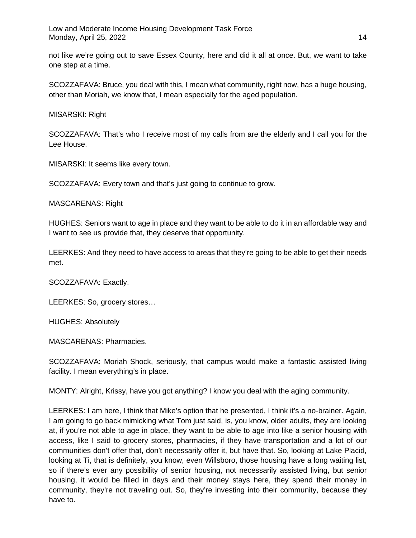not like we're going out to save Essex County, here and did it all at once. But, we want to take one step at a time.

SCOZZAFAVA: Bruce, you deal with this, I mean what community, right now, has a huge housing, other than Moriah, we know that, I mean especially for the aged population.

MISARSKI: Right

SCOZZAFAVA: That's who I receive most of my calls from are the elderly and I call you for the Lee House.

MISARSKI: It seems like every town.

SCOZZAFAVA: Every town and that's just going to continue to grow.

MASCARENAS: Right

HUGHES: Seniors want to age in place and they want to be able to do it in an affordable way and I want to see us provide that, they deserve that opportunity.

LEERKES: And they need to have access to areas that they're going to be able to get their needs met.

SCOZZAFAVA: Exactly.

LEERKES: So, grocery stores…

HUGHES: Absolutely

MASCARENAS: Pharmacies.

SCOZZAFAVA: Moriah Shock, seriously, that campus would make a fantastic assisted living facility. I mean everything's in place.

MONTY: Alright, Krissy, have you got anything? I know you deal with the aging community.

LEERKES: I am here, I think that Mike's option that he presented, I think it's a no-brainer. Again, I am going to go back mimicking what Tom just said, is, you know, older adults, they are looking at, if you're not able to age in place, they want to be able to age into like a senior housing with access, like I said to grocery stores, pharmacies, if they have transportation and a lot of our communities don't offer that, don't necessarily offer it, but have that. So, looking at Lake Placid, looking at Ti, that is definitely, you know, even Willsboro, those housing have a long waiting list, so if there's ever any possibility of senior housing, not necessarily assisted living, but senior housing, it would be filled in days and their money stays here, they spend their money in community, they're not traveling out. So, they're investing into their community, because they have to.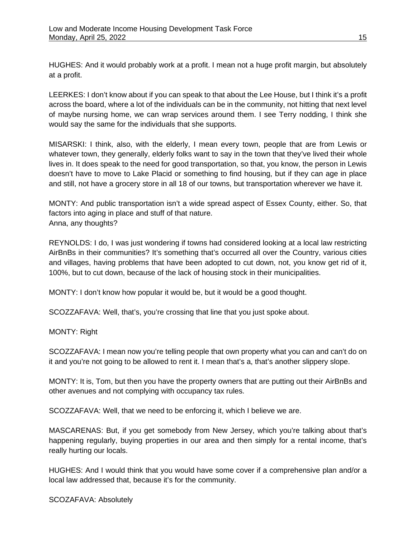HUGHES: And it would probably work at a profit. I mean not a huge profit margin, but absolutely at a profit.

LEERKES: I don't know about if you can speak to that about the Lee House, but I think it's a profit across the board, where a lot of the individuals can be in the community, not hitting that next level of maybe nursing home, we can wrap services around them. I see Terry nodding, I think she would say the same for the individuals that she supports.

MISARSKI: I think, also, with the elderly, I mean every town, people that are from Lewis or whatever town, they generally, elderly folks want to say in the town that they've lived their whole lives in. It does speak to the need for good transportation, so that, you know, the person in Lewis doesn't have to move to Lake Placid or something to find housing, but if they can age in place and still, not have a grocery store in all 18 of our towns, but transportation wherever we have it.

MONTY: And public transportation isn't a wide spread aspect of Essex County, either. So, that factors into aging in place and stuff of that nature. Anna, any thoughts?

REYNOLDS: I do, I was just wondering if towns had considered looking at a local law restricting AirBnBs in their communities? It's something that's occurred all over the Country, various cities and villages, having problems that have been adopted to cut down, not, you know get rid of it, 100%, but to cut down, because of the lack of housing stock in their municipalities.

MONTY: I don't know how popular it would be, but it would be a good thought.

SCOZZAFAVA: Well, that's, you're crossing that line that you just spoke about.

MONTY: Right

SCOZZAFAVA: I mean now you're telling people that own property what you can and can't do on it and you're not going to be allowed to rent it. I mean that's a, that's another slippery slope.

MONTY: It is, Tom, but then you have the property owners that are putting out their AirBnBs and other avenues and not complying with occupancy tax rules.

SCOZZAFAVA: Well, that we need to be enforcing it, which I believe we are.

MASCARENAS: But, if you get somebody from New Jersey, which you're talking about that's happening regularly, buying properties in our area and then simply for a rental income, that's really hurting our locals.

HUGHES: And I would think that you would have some cover if a comprehensive plan and/or a local law addressed that, because it's for the community.

SCOZAFAVA: Absolutely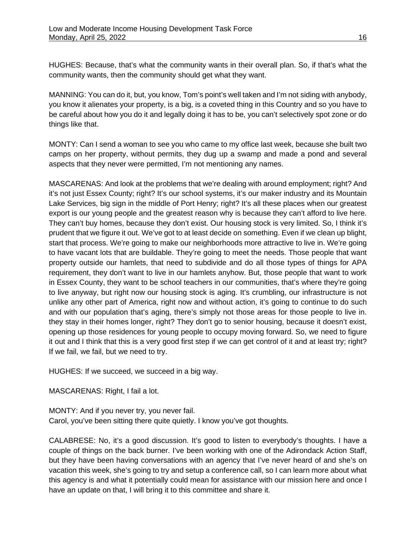HUGHES: Because, that's what the community wants in their overall plan. So, if that's what the community wants, then the community should get what they want.

MANNING: You can do it, but, you know, Tom's point's well taken and I'm not siding with anybody, you know it alienates your property, is a big, is a coveted thing in this Country and so you have to be careful about how you do it and legally doing it has to be, you can't selectively spot zone or do things like that.

MONTY: Can I send a woman to see you who came to my office last week, because she built two camps on her property, without permits, they dug up a swamp and made a pond and several aspects that they never were permitted, I'm not mentioning any names.

MASCARENAS: And look at the problems that we're dealing with around employment; right? And it's not just Essex County; right? It's our school systems, it's our maker industry and its Mountain Lake Services, big sign in the middle of Port Henry; right? It's all these places when our greatest export is our young people and the greatest reason why is because they can't afford to live here. They can't buy homes, because they don't exist. Our housing stock is very limited. So, I think it's prudent that we figure it out. We've got to at least decide on something. Even if we clean up blight, start that process. We're going to make our neighborhoods more attractive to live in. We're going to have vacant lots that are buildable. They're going to meet the needs. Those people that want property outside our hamlets, that need to subdivide and do all those types of things for APA requirement, they don't want to live in our hamlets anyhow. But, those people that want to work in Essex County, they want to be school teachers in our communities, that's where they're going to live anyway, but right now our housing stock is aging. It's crumbling, our infrastructure is not unlike any other part of America, right now and without action, it's going to continue to do such and with our population that's aging, there's simply not those areas for those people to live in. they stay in their homes longer, right? They don't go to senior housing, because it doesn't exist, opening up those residences for young people to occupy moving forward. So, we need to figure it out and I think that this is a very good first step if we can get control of it and at least try; right? If we fail, we fail, but we need to try.

HUGHES: If we succeed, we succeed in a big way.

MASCARENAS: Right, I fail a lot.

MONTY: And if you never try, you never fail. Carol, you've been sitting there quite quietly. I know you've got thoughts.

CALABRESE: No, it's a good discussion. It's good to listen to everybody's thoughts. I have a couple of things on the back burner. I've been working with one of the Adirondack Action Staff, but they have been having conversations with an agency that I've never heard of and she's on vacation this week, she's going to try and setup a conference call, so I can learn more about what this agency is and what it potentially could mean for assistance with our mission here and once I have an update on that, I will bring it to this committee and share it.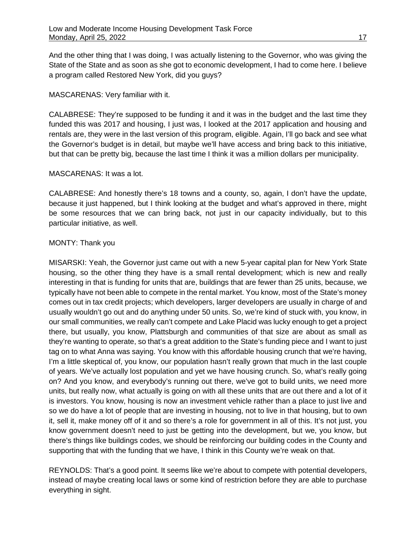And the other thing that I was doing, I was actually listening to the Governor, who was giving the State of the State and as soon as she got to economic development, I had to come here. I believe a program called Restored New York, did you guys?

#### MASCARENAS: Very familiar with it.

CALABRESE: They're supposed to be funding it and it was in the budget and the last time they funded this was 2017 and housing, I just was, I looked at the 2017 application and housing and rentals are, they were in the last version of this program, eligible. Again, I'll go back and see what the Governor's budget is in detail, but maybe we'll have access and bring back to this initiative, but that can be pretty big, because the last time I think it was a million dollars per municipality.

### MASCARENAS: It was a lot.

CALABRESE: And honestly there's 18 towns and a county, so, again, I don't have the update, because it just happened, but I think looking at the budget and what's approved in there, might be some resources that we can bring back, not just in our capacity individually, but to this particular initiative, as well.

### MONTY: Thank you

MISARSKI: Yeah, the Governor just came out with a new 5-year capital plan for New York State housing, so the other thing they have is a small rental development; which is new and really interesting in that is funding for units that are, buildings that are fewer than 25 units, because, we typically have not been able to compete in the rental market. You know, most of the State's money comes out in tax credit projects; which developers, larger developers are usually in charge of and usually wouldn't go out and do anything under 50 units. So, we're kind of stuck with, you know, in our small communities, we really can't compete and Lake Placid was lucky enough to get a project there, but usually, you know, Plattsburgh and communities of that size are about as small as they're wanting to operate, so that's a great addition to the State's funding piece and I want to just tag on to what Anna was saying. You know with this affordable housing crunch that we're having, I'm a little skeptical of, you know, our population hasn't really grown that much in the last couple of years. We've actually lost population and yet we have housing crunch. So, what's really going on? And you know, and everybody's running out there, we've got to build units, we need more units, but really now, what actually is going on with all these units that are out there and a lot of it is investors. You know, housing is now an investment vehicle rather than a place to just live and so we do have a lot of people that are investing in housing, not to live in that housing, but to own it, sell it, make money off of it and so there's a role for government in all of this. It's not just, you know government doesn't need to just be getting into the development, but we, you know, but there's things like buildings codes, we should be reinforcing our building codes in the County and supporting that with the funding that we have, I think in this County we're weak on that.

REYNOLDS: That's a good point. It seems like we're about to compete with potential developers, instead of maybe creating local laws or some kind of restriction before they are able to purchase everything in sight.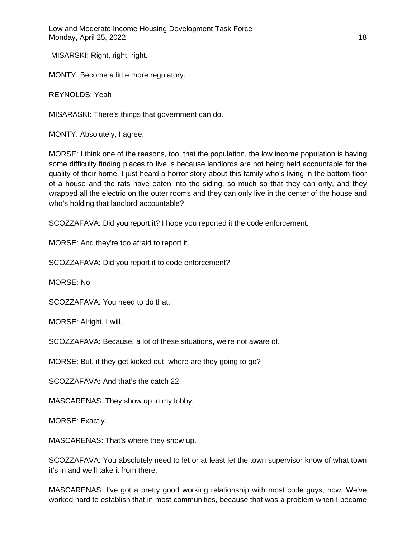MISARSKI: Right, right, right.

MONTY: Become a little more regulatory.

REYNOLDS: Yeah

MISARASKI: There's things that government can do.

MONTY: Absolutely, I agree.

MORSE: I think one of the reasons, too, that the population, the low income population is having some difficulty finding places to live is because landlords are not being held accountable for the quality of their home. I just heard a horror story about this family who's living in the bottom floor of a house and the rats have eaten into the siding, so much so that they can only, and they wrapped all the electric on the outer rooms and they can only live in the center of the house and who's holding that landlord accountable?

SCOZZAFAVA: Did you report it? I hope you reported it the code enforcement.

MORSE: And they're too afraid to report it.

SCOZZAFAVA: Did you report it to code enforcement?

MORSE: No

SCOZZAFAVA: You need to do that.

MORSE: Alright, I will.

SCOZZAFAVA: Because, a lot of these situations, we're not aware of.

MORSE: But, if they get kicked out, where are they going to go?

SCOZZAFAVA: And that's the catch 22.

MASCARENAS: They show up in my lobby.

MORSE: Exactly.

MASCARENAS: That's where they show up.

SCOZZAFAVA: You absolutely need to let or at least let the town supervisor know of what town it's in and we'll take it from there.

MASCARENAS: I've got a pretty good working relationship with most code guys, now. We've worked hard to establish that in most communities, because that was a problem when I became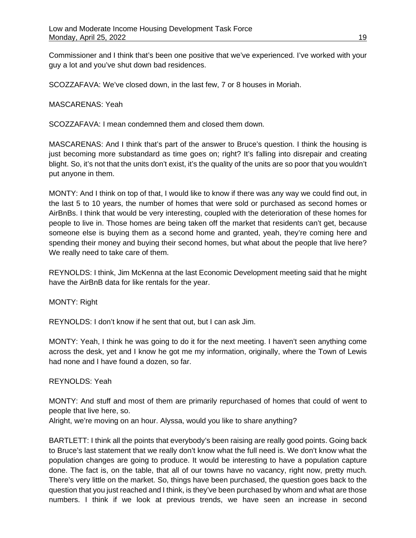Commissioner and I think that's been one positive that we've experienced. I've worked with your guy a lot and you've shut down bad residences.

SCOZZAFAVA: We've closed down, in the last few, 7 or 8 houses in Moriah.

MASCARENAS: Yeah

SCOZZAFAVA: I mean condemned them and closed them down.

MASCARENAS: And I think that's part of the answer to Bruce's question. I think the housing is just becoming more substandard as time goes on; right? It's falling into disrepair and creating blight. So, it's not that the units don't exist, it's the quality of the units are so poor that you wouldn't put anyone in them.

MONTY: And I think on top of that, I would like to know if there was any way we could find out, in the last 5 to 10 years, the number of homes that were sold or purchased as second homes or AirBnBs. I think that would be very interesting, coupled with the deterioration of these homes for people to live in. Those homes are being taken off the market that residents can't get, because someone else is buying them as a second home and granted, yeah, they're coming here and spending their money and buying their second homes, but what about the people that live here? We really need to take care of them.

REYNOLDS: I think, Jim McKenna at the last Economic Development meeting said that he might have the AirBnB data for like rentals for the year.

MONTY: Right

REYNOLDS: I don't know if he sent that out, but I can ask Jim.

MONTY: Yeah, I think he was going to do it for the next meeting. I haven't seen anything come across the desk, yet and I know he got me my information, originally, where the Town of Lewis had none and I have found a dozen, so far.

# REYNOLDS: Yeah

MONTY: And stuff and most of them are primarily repurchased of homes that could of went to people that live here, so.

Alright, we're moving on an hour. Alyssa, would you like to share anything?

BARTLETT: I think all the points that everybody's been raising are really good points. Going back to Bruce's last statement that we really don't know what the full need is. We don't know what the population changes are going to produce. It would be interesting to have a population capture done. The fact is, on the table, that all of our towns have no vacancy, right now, pretty much. There's very little on the market. So, things have been purchased, the question goes back to the question that you just reached and I think, is they've been purchased by whom and what are those numbers. I think if we look at previous trends, we have seen an increase in second